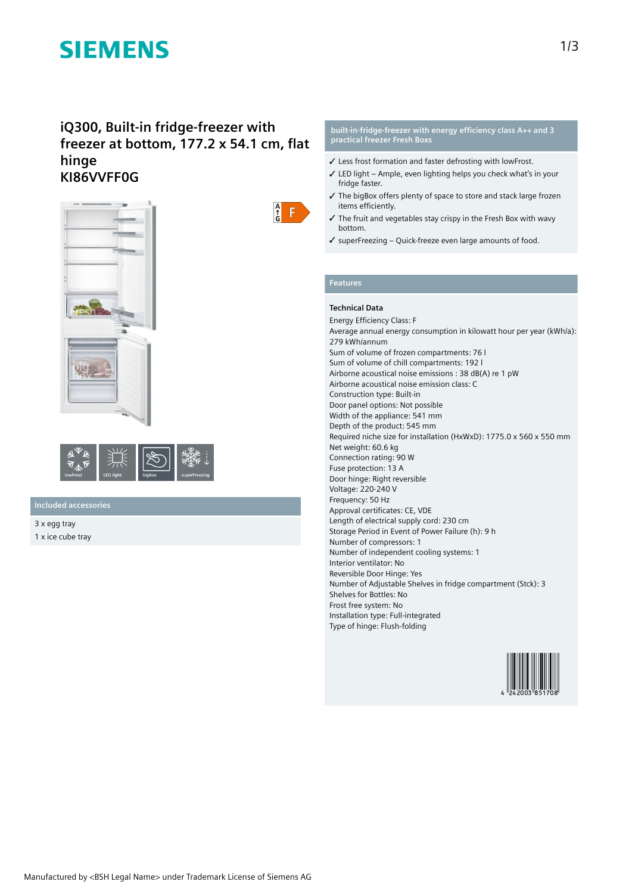# **SIEMENS**

## **iQ300, Built-in fridge-freezer with freezer at bottom, 177.2 x 54.1 cm, flat hinge KI86VVFF0G**





## **Included accessories**

3 x egg tray 1 x ice cube tray

### **built-in-fridge-freezer with energy efficiency class A++ and 3 practical freezer Fresh Boxs**

- ✓ Less frost formation and faster defrosting with lowFrost.
- ✓ LED light Ample, even lighting helps you check what's in your fridge faster.
- ✓ The bigBox offers plenty of space to store and stack large frozen items efficiently.
- ✓ The fruit and vegetables stay crispy in the Fresh Box with wavy bottom.
- ✓ superFreezing Quick-freeze even large amounts of food.

### **Features**

 $\frac{A}{G}$  $\mathsf F$ 

### **Technical Data**

Energy Efficiency Class: F Average annual energy consumption in kilowatt hour per year (kWh/a): 279 kWh/annum Sum of volume of frozen compartments: 76 l Sum of volume of chill compartments: 192 l Airborne acoustical noise emissions : 38 dB(A) re 1 pW Airborne acoustical noise emission class: C Construction type: Built-in Door panel options: Not possible Width of the appliance: 541 mm Depth of the product: 545 mm Required niche size for installation (HxWxD): 1775.0 x 560 x 550 mm Net weight: 60.6 kg Connection rating: 90 W Fuse protection: 13 A Door hinge: Right reversible Voltage: 220-240 V Frequency: 50 Hz Approval certificates: CE, VDE Length of electrical supply cord: 230 cm Storage Period in Event of Power Failure (h): 9 h Number of compressors: 1 Number of independent cooling systems: 1 Interior ventilator: No Reversible Door Hinge: Yes Number of Adjustable Shelves in fridge compartment (Stck): 3 Shelves for Bottles: No Frost free system: No Installation type: Full-integrated Type of hinge: Flush-folding

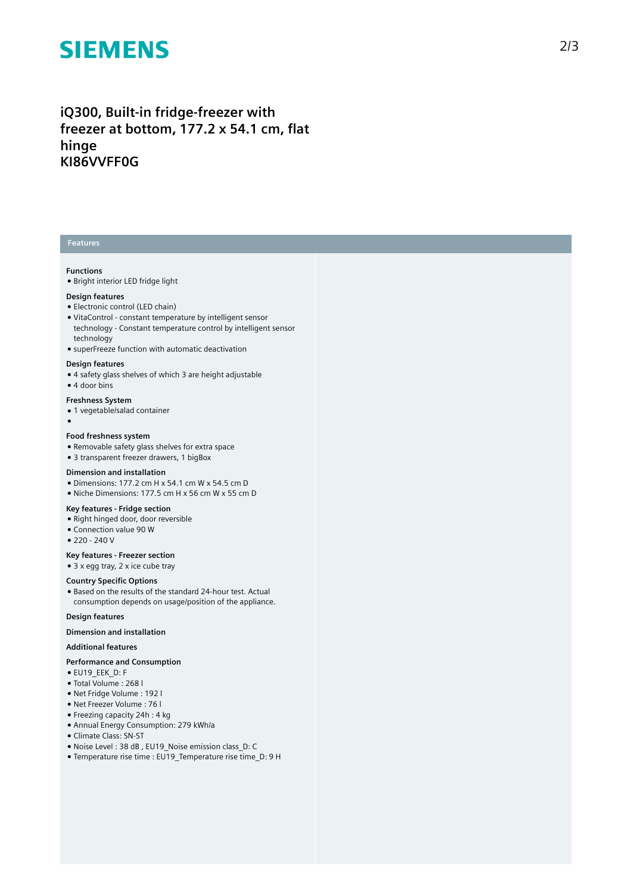# **SIEMENS**

# iQ300, Built-in fridge-freezer with freezer at bottom, 177.2 x 54.1 cm, flat **h i n g e KI86VVFF0G**

## **Features**

#### **Functions**

 $\bullet$  Bright interior LED fridge light

#### Design features

- Electronic control (LED chain)
- VitaControl constant temperature by intelligent sensor technology - Constant temperature control by intelligent sensor technology
- superFreeze function with automatic deactivation

#### Design features

- $\bullet$  4 safety glass shelves of which 3 are height adjustable
- 4 door bins

#### **Freshness System**

- 1 vegetable/salad container
- ●

#### **Food freshness system**

- Removable safety glass shelves for extra space
- 3 transparent freezer drawers, 1 bigBox

#### Dimension and installation

- Dimensions: 177.2 cm H x 54.1 cm W x 54.5 cm D
- Niche Dimensions: 177.5 cm H x 56 cm W x 55 cm D

#### Key features - Fridge section

- Right hinged door, door reversible
- Connection value 90 W
- 220 240 V
- **Key features - F r e e z e r s e c t i o n**
- $\bullet$  3 x egg tray, 2 x ice cube tray

#### **Country Specific Options**

• Based on the results of the standard 24-hour test. Actual consumption depends on usage/position of the applianc e .

#### Design features

Dimension and installation

#### **Additional features**

#### Performance and Consumption

- EU19\_EEK\_D: F
- Total Volume : 2 6 8 l
- Net Fridge Volume : 1 9 2 l
- Net Freezer Volume : 76 l
- Freezing capacity 24h: 4 kg
- Annual Energy Consumption: 279 kWh/a
- Climate Class: SN-ST
- Noise Level : 38 dB , EU19\_Noise emission class\_D: C
- Temperature rise time : EU19 Temperature rise time D: 9 H